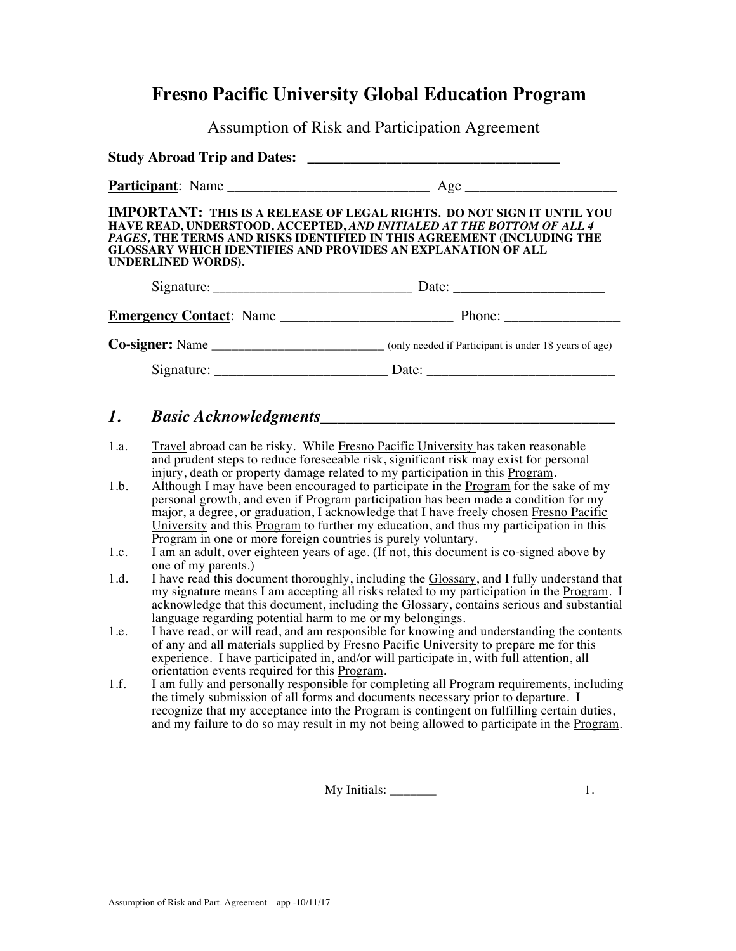## **Fresno Pacific University Global Education Program**

Assumption of Risk and Participation Agreement

| IMPORTANT: THIS IS A RELEASE OF LEGAL RIGHTS. DO NOT SIGN IT UNTIL YOU<br>HAVE READ, UNDERSTOOD, ACCEPTED, <i>AND INITIALED AT THE BOTTOM OF ALL 4</i><br>PAGES, THE TERMS AND RISKS IDENTIFIED IN THIS AGREEMENT (INCLUDING THE<br><b>GLOSSARY WHICH IDENTIFIES AND PROVIDES AN EXPLANATION OF ALL</b><br>UNDERLINED WORDS). |                                                                                                      |
|-------------------------------------------------------------------------------------------------------------------------------------------------------------------------------------------------------------------------------------------------------------------------------------------------------------------------------|------------------------------------------------------------------------------------------------------|
|                                                                                                                                                                                                                                                                                                                               |                                                                                                      |
|                                                                                                                                                                                                                                                                                                                               |                                                                                                      |
|                                                                                                                                                                                                                                                                                                                               | Co-signer: Name ______________________________ (only needed if Participant is under 18 years of age) |

Signature: \_\_\_\_\_\_\_\_\_\_\_\_\_\_\_\_\_\_\_\_\_\_\_\_ Date: \_\_\_\_\_\_\_\_\_\_\_\_\_\_\_\_\_\_\_\_\_\_\_\_\_\_

### *1. Basic Acknowledgments***\_\_\_\_\_\_\_\_\_\_\_\_\_\_\_\_\_\_\_\_\_\_\_\_\_\_\_\_\_\_\_\_\_\_\_**

- 1.a. Travel abroad can be risky. While Fresno Pacific University has taken reasonable and prudent steps to reduce foreseeable risk, significant risk may exist for personal injury, death or property damage related to my participation in this Program.
- 1.b. Although I may have been encouraged to participate in the Program for the sake of my personal growth, and even if Program participation has been made a condition for my major, a degree, or graduation, I acknowledge that I have freely chosen Fresno Pacific University and this Program to further my education, and thus my participation in this Program in one or more foreign countries is purely voluntary.
- 1.c. I am an adult, over eighteen years of age. (If not, this document is co-signed above by one of my parents.)
- 1.d. I have read this document thoroughly, including the Glossary, and I fully understand that my signature means I am accepting all risks related to my participation in the Program. I acknowledge that this document, including the Glossary, contains serious and substantial language regarding potential harm to me or my belongings.
- 1.e. I have read, or will read, and am responsible for knowing and understanding the contents of any and all materials supplied by Fresno Pacific University to prepare me for this experience. I have participated in, and/or will participate in, with full attention, all orientation events required for this Program.
- 1.f. I am fully and personally responsible for completing all Program requirements, including the timely submission of all forms and documents necessary prior to departure. I recognize that my acceptance into the Program is contingent on fulfilling certain duties, and my failure to do so may result in my not being allowed to participate in the Program.

My Initials: \_\_\_\_\_\_\_ 1.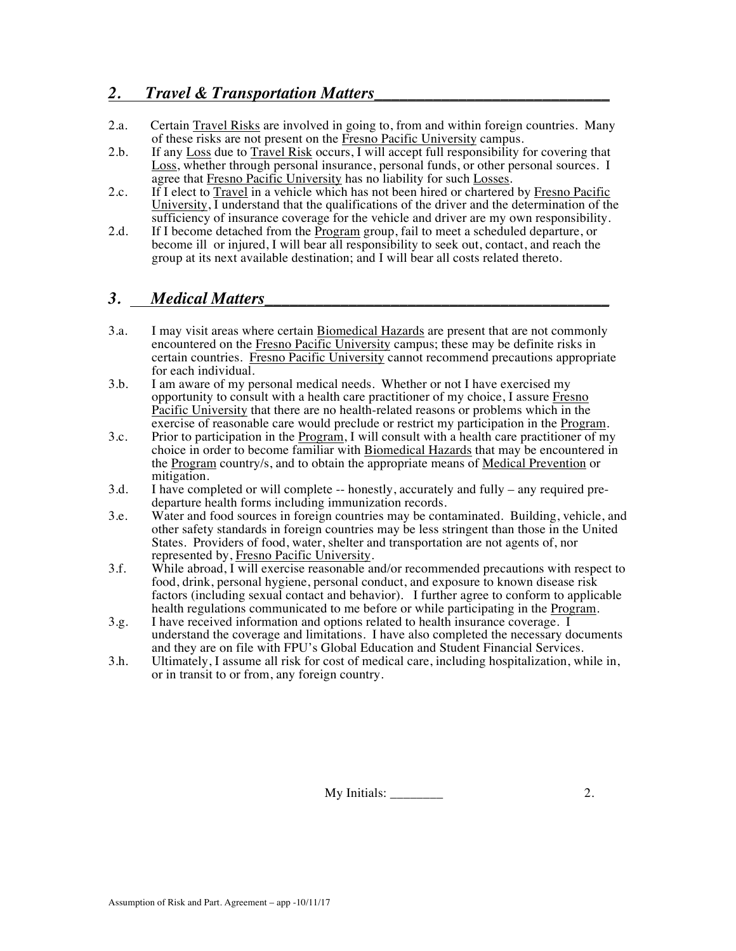### *2. Travel & Transportation Matters\_\_\_\_\_\_\_\_\_\_\_\_\_\_\_\_\_\_\_\_\_\_\_\_\_\_\_\_*

- 2.a. Certain Travel Risks are involved in going to, from and within foreign countries. Many of these risks are not present on the Fresno Pacific University campus.
- 2.b. If any Loss due to Travel Risk occurs, I will accept full responsibility for covering that Loss, whether through personal insurance, personal funds, or other personal sources. I agree that Fresno Pacific University has no liability for such Losses.
- 2.c. If I elect to Travel in a vehicle which has not been hired or chartered by Fresno Pacific University,  $\overline{I}$  understand that the qualifications of the driver and the determination of the sufficiency of insurance coverage for the vehicle and driver are my own responsibility.
- 2.d. If I become detached from the Program group, fail to meet a scheduled departure, or become ill or injured, I will bear all responsibility to seek out, contact, and reach the group at its next available destination; and I will bear all costs related thereto.

## *3. Medical Matters\_\_\_\_\_\_\_\_\_\_\_\_\_\_\_\_\_\_\_\_\_\_\_\_\_\_\_\_\_\_\_\_\_\_\_\_\_\_\_\_\_*

- 3.a. I may visit areas where certain Biomedical Hazards are present that are not commonly encountered on the Fresno Pacific University campus; these may be definite risks in certain countries. Fresno Pacific University cannot recommend precautions appropriate for each individual.
- 3.b. I am aware of my personal medical needs. Whether or not I have exercised my opportunity to consult with a health care practitioner of my choice, I assure Fresno Pacific University that there are no health-related reasons or problems which in the exercise of reasonable care would preclude or restrict my participation in the Program.
- 3.c. Prior to participation in the Program, I will consult with a health care practitioner of my choice in order to become familiar with Biomedical Hazards that may be encountered in the Program country/s, and to obtain the appropriate means of Medical Prevention or mitigation.
- 3.d. I have completed or will complete -- honestly, accurately and fully any required predeparture health forms including immunization records.
- 3.e. Water and food sources in foreign countries may be contaminated. Building, vehicle, and other safety standards in foreign countries may be less stringent than those in the United States. Providers of food, water, shelter and transportation are not agents of, nor represented by, Fresno Pacific University.
- 3.f. While abroad, I will exercise reasonable and/or recommended precautions with respect to food, drink, personal hygiene, personal conduct, and exposure to known disease risk factors (including sexual contact and behavior). I further agree to conform to applicable health regulations communicated to me before or while participating in the Program.
- 3.g. I have received information and options related to health insurance coverage. I understand the coverage and limitations. I have also completed the necessary documents and they are on file with FPU's Global Education and Student Financial Services.
- 3.h. Ultimately, I assume all risk for cost of medical care, including hospitalization, while in, or in transit to or from, any foreign country.

My Initials: \_\_\_\_\_\_\_\_ 2.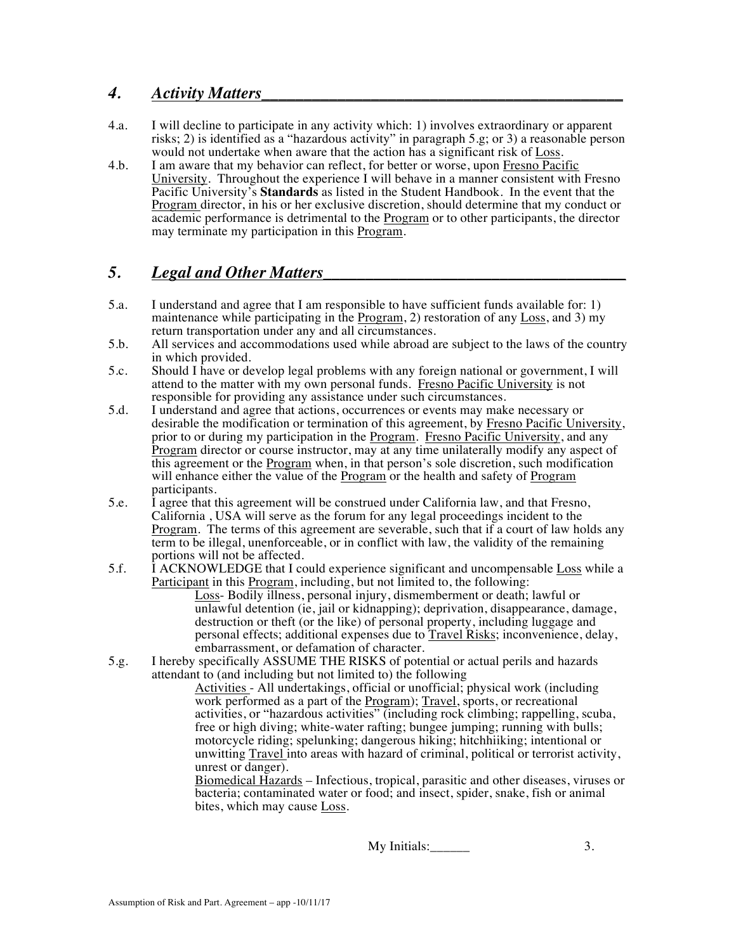### *4. Activity Matters\_\_\_\_\_\_\_\_\_\_\_\_\_\_\_\_\_\_\_\_\_\_\_\_\_\_\_\_\_\_\_\_\_\_\_\_\_\_\_\_\_\_\_*

- 4.a. I will decline to participate in any activity which: 1) involves extraordinary or apparent risks; 2) is identified as a "hazardous activity" in paragraph 5.g; or 3) a reasonable person would not undertake when aware that the action has a significant risk of Loss.
- 4.b. I am aware that my behavior can reflect, for better or worse, upon Fresno Pacific University. Throughout the experience I will behave in a manner consistent with Fresno Pacific University's **Standards** as listed in the Student Handbook. In the event that the Program director, in his or her exclusive discretion, should determine that my conduct or academic performance is detrimental to the Program or to other participants, the director may terminate my participation in this Program.

# *5. Legal and Other Matters\_\_\_\_\_\_\_\_\_\_\_\_\_\_\_\_\_\_\_\_\_\_\_\_\_\_\_\_\_\_\_\_\_\_\_\_*

- 5.a. I understand and agree that I am responsible to have sufficient funds available for: 1) maintenance while participating in the  $Program$ , 2) restoration of any Loss, and 3) my return transportation under any and all circumstances.
- 5.b. All services and accommodations used while abroad are subject to the laws of the country in which provided.
- 5.c. Should I have or develop legal problems with any foreign national or government, I will attend to the matter with my own personal funds. Fresno Pacific University is not responsible for providing any assistance under such circumstances.
- 5.d. I understand and agree that actions, occurrences or events may make necessary or desirable the modification or termination of this agreement, by Fresno Pacific University, prior to or during my participation in the Program. Fresno Pacific University, and any Program director or course instructor, may at any time unilaterally modify any aspect of this agreement or the Program when, in that person's sole discretion, such modification will enhance either the value of the Program or the health and safety of Program participants.
- 5.e. I agree that this agreement will be construed under California law, and that Fresno, California , USA will serve as the forum for any legal proceedings incident to the Program. The terms of this agreement are severable, such that if a court of law holds any term to be illegal, unenforceable, or in conflict with law, the validity of the remaining portions will not be affected.
- 5.f. **I** ACKNOWLEDGE that I could experience significant and uncompensable Loss while a Participant in this Program, including, but not limited to, the following: Loss- Bodily illness, personal injury, dismemberment or death; lawful or unlawful detention (ie, jail or kidnapping); deprivation, disappearance, damage, destruction or theft (or the like) of personal property, including luggage and personal effects; additional expenses due to *Travel Risks*; inconvenience, delay, embarrassment, or defamation of character.
- 5.g. I hereby specifically ASSUME THE RISKS of potential or actual perils and hazards attendant to (and including but not limited to) the following

Activities - All undertakings, official or unofficial; physical work (including work performed as a part of the **Program**); Travel, sports, or recreational activities, or "hazardous activities" (including rock climbing; rappelling, scuba, free or high diving; white-water rafting; bungee jumping; running with bulls; motorcycle riding; spelunking; dangerous hiking; hitchhiiking; intentional or unwitting Travel into areas with hazard of criminal, political or terrorist activity, unrest or danger).

Biomedical Hazards – Infectious, tropical, parasitic and other diseases, viruses or bacteria; contaminated water or food; and insect, spider, snake, fish or animal bites, which may cause Loss.

My Initials: 3.